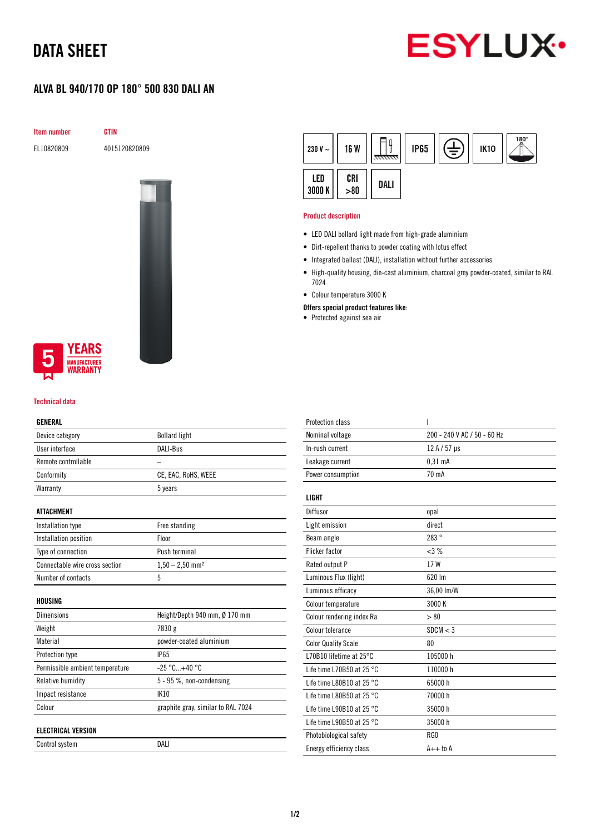# DATA SHEET



## ALVA BL 940/170 OP 180° 500 830 DALI AN

Item number GTIN

EL10820809 4015120820809



### **YEARS MANUFACTURER** WARRANTY

#### Technical data

#### GENERAL

| Device category                 | <b>Bollard light</b>               |
|---------------------------------|------------------------------------|
| User interface                  | DALI-Bus                           |
| Remote controllable             |                                    |
| Conformity                      | CE, EAC, RoHS, WEEE                |
| Warranty                        | 5 years                            |
|                                 |                                    |
| <b>ATTACHMENT</b>               |                                    |
| Installation type               | Free standing                      |
| Installation position           | Floor                              |
| Type of connection              | Push terminal                      |
| Connectable wire cross section  | $1,50 - 2,50$ mm <sup>2</sup>      |
| Number of contacts              | 5                                  |
|                                 |                                    |
| HOUSING                         |                                    |
| <b>Dimensions</b>               | Height/Depth 940 mm, Ø 170 mm      |
| Weight                          | 7830 g                             |
| Material                        | powder-coated aluminium            |
| Protection type                 | <b>IP65</b>                        |
| Permissible ambient temperature | $-25 °C+40 °C$                     |
| Relative humidity               | 5 - 95 %, non-condensing           |
| Impact resistance               | <b>IK10</b>                        |
| Colour                          | graphite gray, similar to RAL 7024 |
|                                 |                                    |
| <b>ELECTRICAL VERSION</b>       |                                    |
| Control system                  | DALI                               |

| 230 V $\sim$  | <b>16 W</b> | <del>anna</del> | <b>IP65</b> | È | <b>IK10</b> | $180^\circ$ |
|---------------|-------------|-----------------|-------------|---|-------------|-------------|
| LED<br>3000 K | CRI > 80    | DALI            |             |   |             |             |

#### Product description

- LED DALI bollard light made from high-grade aluminium
- Dirt-repellent thanks to powder coating with lotus effect
- Integrated ballast (DALI), installation without further accessories
- High-quality housing, die-cast aluminium, charcoal grey powder-coated, similar to RAL 7024
- Colour temperature 3000 K
- Offers special product features like:
- Protected against sea air

| 200 - 240 V AC / 50 - 60 Hz<br>Nominal voltage<br>In-rush current<br>12 A / 57 µs<br>Leakage current<br>$0.31$ mA<br>70 mA<br>Power consumption<br><b>LIGHT</b><br>Diffusor<br>opal<br>direct<br>Light emission<br>283°<br>Beam angle<br><b>Flicker factor</b><br><3%<br>17W<br>Rated output P<br>620 lm<br>Luminous Flux (light)<br>Luminous efficacy<br>36,00 lm/W<br>3000 K<br>Colour temperature<br>Colour rendering index Ra<br>> 80<br>Colour tolerance<br>SDCM < 3<br><b>Color Quality Scale</b><br>80 |
|---------------------------------------------------------------------------------------------------------------------------------------------------------------------------------------------------------------------------------------------------------------------------------------------------------------------------------------------------------------------------------------------------------------------------------------------------------------------------------------------------------------|
|                                                                                                                                                                                                                                                                                                                                                                                                                                                                                                               |
|                                                                                                                                                                                                                                                                                                                                                                                                                                                                                                               |
|                                                                                                                                                                                                                                                                                                                                                                                                                                                                                                               |
|                                                                                                                                                                                                                                                                                                                                                                                                                                                                                                               |
|                                                                                                                                                                                                                                                                                                                                                                                                                                                                                                               |
|                                                                                                                                                                                                                                                                                                                                                                                                                                                                                                               |
|                                                                                                                                                                                                                                                                                                                                                                                                                                                                                                               |
|                                                                                                                                                                                                                                                                                                                                                                                                                                                                                                               |
|                                                                                                                                                                                                                                                                                                                                                                                                                                                                                                               |
|                                                                                                                                                                                                                                                                                                                                                                                                                                                                                                               |
|                                                                                                                                                                                                                                                                                                                                                                                                                                                                                                               |
|                                                                                                                                                                                                                                                                                                                                                                                                                                                                                                               |
|                                                                                                                                                                                                                                                                                                                                                                                                                                                                                                               |
|                                                                                                                                                                                                                                                                                                                                                                                                                                                                                                               |
|                                                                                                                                                                                                                                                                                                                                                                                                                                                                                                               |
|                                                                                                                                                                                                                                                                                                                                                                                                                                                                                                               |
| L70B10 lifetime at 25°C<br>105000 h                                                                                                                                                                                                                                                                                                                                                                                                                                                                           |
| Life time L70B50 at 25 $^{\circ}$ C<br>110000h                                                                                                                                                                                                                                                                                                                                                                                                                                                                |
| 65000h<br>Life time L80B10 at 25 $^{\circ}$ C                                                                                                                                                                                                                                                                                                                                                                                                                                                                 |
| Life time L80B50 at 25 $^{\circ}$ C<br>70000 h                                                                                                                                                                                                                                                                                                                                                                                                                                                                |
| Life time L90B10 at 25 $^{\circ}$ C<br>35000h                                                                                                                                                                                                                                                                                                                                                                                                                                                                 |
| Life time L90B50 at 25 °C<br>35000 h                                                                                                                                                                                                                                                                                                                                                                                                                                                                          |
| RG0<br>Photobiological safety                                                                                                                                                                                                                                                                                                                                                                                                                                                                                 |
| $A++$ to $A$<br>Energy efficiency class                                                                                                                                                                                                                                                                                                                                                                                                                                                                       |